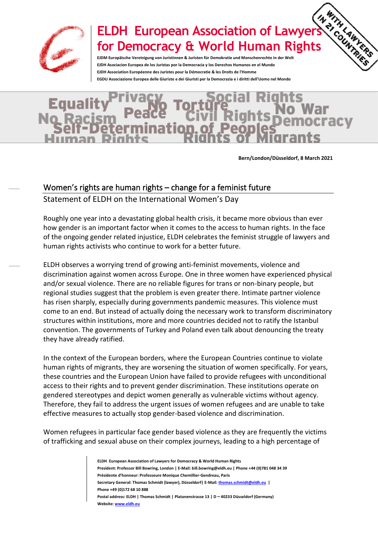

## **ELDH European Association of Lawyers for Democracy & World Human Rights**

**EJDM Europäische Vereinigung von Juristinnen & Juristen für Demokratie und Menschenrechte in der Welt EJDH Asociacion Europea de los Juristas por la Democracia y los Derechos Humanos en el Mundo EJDH Association Européenne des Juristes pour la Démocratie & les Droits de l'Homme EGDU Associazione Europea delle Giuriste e dei Giuristi per la Democrazia e i diritti dell'Uomo nel Mondo**

**Bern/London/Düsseldorf, 8 March 2021**

ITHLAWYERS

## Women's rights are human rights – change for a feminist future

Statement of ELDH on the International Women's Day

Roughly one year into a devastating global health crisis, it became more obvious than ever how gender is an important factor when it comes to the access to human rights. In the face of the ongoing gender related injustice, ELDH celebrates the feminist struggle of lawyers and human rights activists who continue to work for a better future.

ELDH observes a worrying trend of growing anti-feminist movements, violence and discrimination against women across Europe. One in three women have experienced physical and/or sexual violence. There are no reliable figures for trans or non-binary people, but regional studies suggest that the problem is even greater there. Intimate partner violence has risen sharply, especially during governments pandemic measures. This violence must come to an end. But instead of actually doing the necessary work to transform discriminatory structures within institutions, more and more countries decided not to ratify the Istanbul convention. The governments of Turkey and Poland even talk about denouncing the treaty they have already ratified.

In the context of the European borders, where the European Countries continue to violate human rights of migrants, they are worsening the situation of women specifically. For years, these countries and the European Union have failed to provide refugees with unconditional access to their rights and to prevent gender discrimination. These institutions operate on gendered stereotypes and depict women generally as vulnerable victims without agency. Therefore, they fail to address the urgent issues of women refugees and are unable to take effective measures to actually stop gender-based violence and discrimination.

Women refugees in particular face gender based violence as they are frequently the victims of trafficking and sexual abuse on their complex journeys, leading to a high percentage of

> **ELDH European Association of Lawyers for Democracy & World Human Rights President: Professor Bill Bowring, London | E-Mail: bill.bowring@eldh.eu | Phone +44 (0)781 048 34 39 Présidente d'honneur: Professeure Monique Chemillier-Gendreau, Paris Secretary General: Thomas Schmidt (lawyer), Düsseldorf| E-Mail[: thomas.schmidt@eldh.eu](mailto:thomas.schmidt@eldh.eu) | Phone +49 (0)172 68 10 888 Postal address: ELDH | Thomas Schmidt | Platanenstrasse 13 | D – 40233 Düsseldorf (Germany) Website[: www.eldh.eu](http://www.eldh.eu/)**